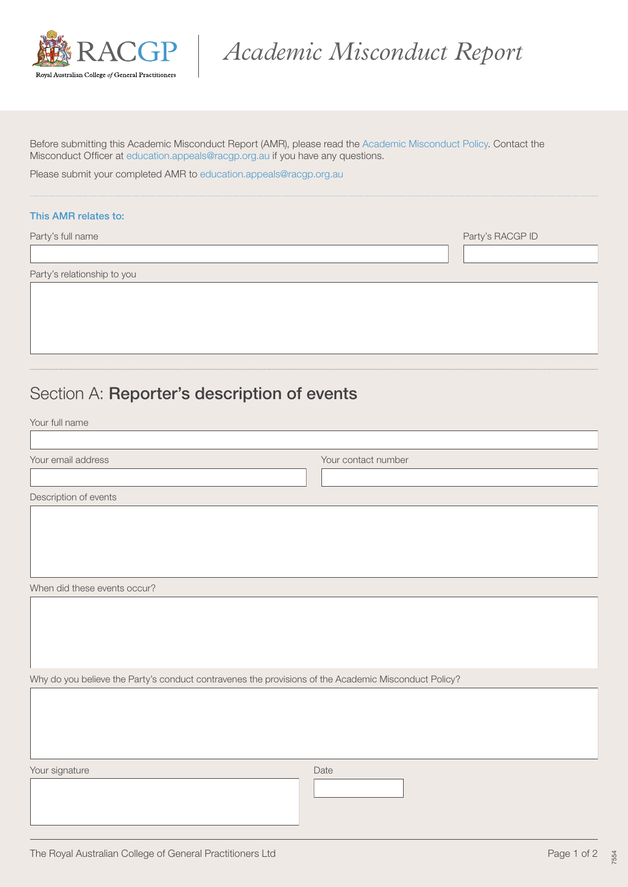

*Academic Misconduct Report*

Before submitting this Academic Misconduct Report (AMR), please read the [Academic Misconduct Policy.](https://www.racgp.org.au/education/registrars/fellowship-pathways/policy-framework/policies/academic-misconduct) Contact the Misconduct Officer at [education.appeals@racgp.org.au](mailto:education.appeals@racgp.org.au) if you have any questions.

Please submit your completed AMR to [education.appeals@racgp.org.au](mailto:education.appeals@racgp.org.au)

## This AMR relates to:

Party's full name Party's RACGP ID

Party's relationship to you

## Section A: Reporter's description of events

Your full name

 $\sqrt{ }$ 

| Your email address    | Your contact number |
|-----------------------|---------------------|
|                       |                     |
| Description of events |                     |

When did these events occur?

Why do you believe the Party's conduct contravenes the provisions of the Academic Misconduct Policy?

Your signature Date Communication of the Communication of the Date Date